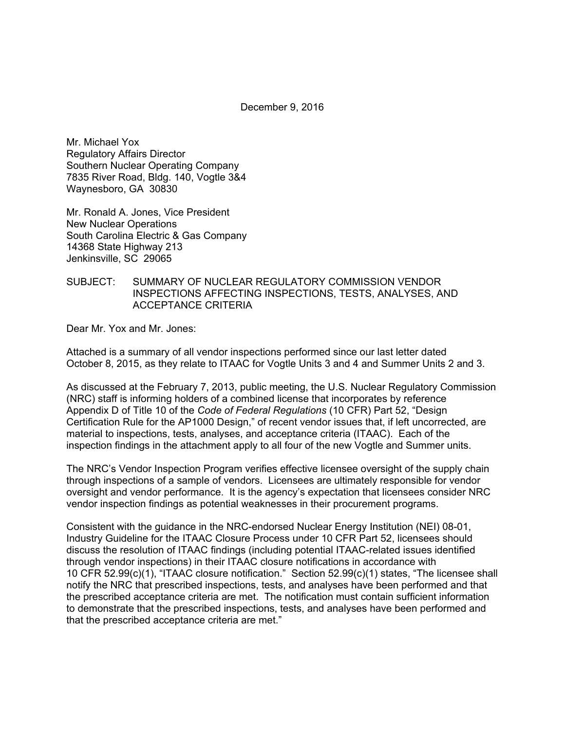December 9, 2016

Mr. Michael Yox Regulatory Affairs Director Southern Nuclear Operating Company 7835 River Road, Bldg. 140, Vogtle 3&4 Waynesboro, GA 30830

Mr. Ronald A. Jones, Vice President New Nuclear Operations South Carolina Electric & Gas Company 14368 State Highway 213 Jenkinsville, SC 29065

### SUBJECT: SUMMARY OF NUCLEAR REGULATORY COMMISSION VENDOR INSPECTIONS AFFECTING INSPECTIONS, TESTS, ANALYSES, AND ACCEPTANCE CRITERIA

Dear Mr. Yox and Mr. Jones:

Attached is a summary of all vendor inspections performed since our last letter dated October 8, 2015, as they relate to ITAAC for Vogtle Units 3 and 4 and Summer Units 2 and 3.

As discussed at the February 7, 2013, public meeting, the U.S. Nuclear Regulatory Commission (NRC) staff is informing holders of a combined license that incorporates by reference Appendix D of Title 10 of the *Code of Federal Regulations* (10 CFR) Part 52, "Design Certification Rule for the AP1000 Design," of recent vendor issues that, if left uncorrected, are material to inspections, tests, analyses, and acceptance criteria (ITAAC). Each of the inspection findings in the attachment apply to all four of the new Vogtle and Summer units.

The NRC's Vendor Inspection Program verifies effective licensee oversight of the supply chain through inspections of a sample of vendors. Licensees are ultimately responsible for vendor oversight and vendor performance. It is the agency's expectation that licensees consider NRC vendor inspection findings as potential weaknesses in their procurement programs.

Consistent with the guidance in the NRC-endorsed Nuclear Energy Institution (NEI) 08-01, Industry Guideline for the ITAAC Closure Process under 10 CFR Part 52, licensees should discuss the resolution of ITAAC findings (including potential ITAAC-related issues identified through vendor inspections) in their ITAAC closure notifications in accordance with 10 CFR 52.99(c)(1), "ITAAC closure notification." Section 52.99(c)(1) states, "The licensee shall notify the NRC that prescribed inspections, tests, and analyses have been performed and that the prescribed acceptance criteria are met. The notification must contain sufficient information to demonstrate that the prescribed inspections, tests, and analyses have been performed and that the prescribed acceptance criteria are met."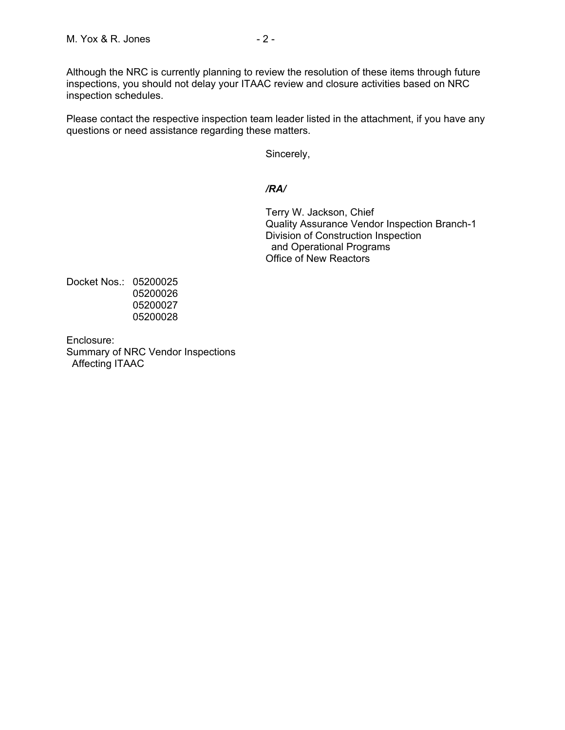Although the NRC is currently planning to review the resolution of these items through future inspections, you should not delay your ITAAC review and closure activities based on NRC inspection schedules.

Please contact the respective inspection team leader listed in the attachment, if you have any questions or need assistance regarding these matters.

Sincerely,

## */RA/*

Terry W. Jackson, Chief Quality Assurance Vendor Inspection Branch-1 Division of Construction Inspection and Operational Programs Office of New Reactors

Docket Nos.: 05200025 05200026 05200027 05200028

Enclosure: Summary of NRC Vendor Inspections Affecting ITAAC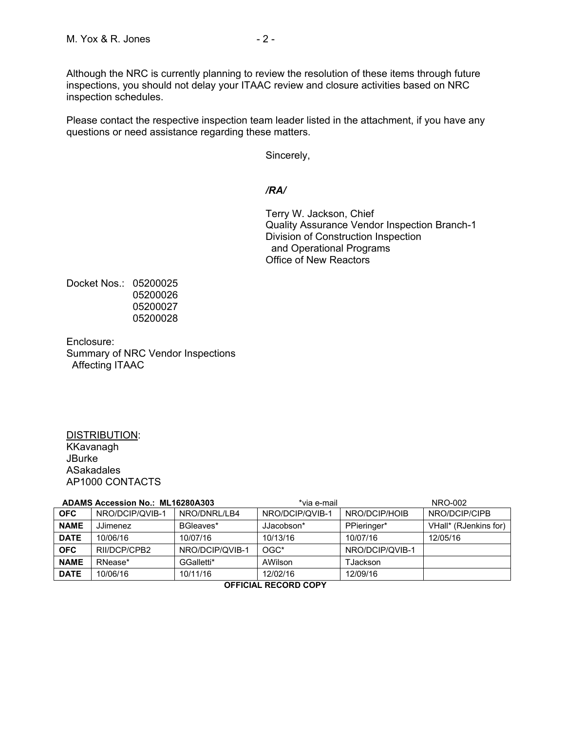Although the NRC is currently planning to review the resolution of these items through future inspections, you should not delay your ITAAC review and closure activities based on NRC inspection schedules.

Please contact the respective inspection team leader listed in the attachment, if you have any questions or need assistance regarding these matters.

Sincerely,

## */RA/*

Terry W. Jackson, Chief Quality Assurance Vendor Inspection Branch-1 Division of Construction Inspection and Operational Programs Office of New Reactors

Docket Nos.: 05200025 05200026 05200027 05200028

Enclosure: Summary of NRC Vendor Inspections Affecting ITAAC

#### DISTRIBUTION: KKavanagh **JBurke** ASakadales AP1000 CONTACTS

| ADAMS Accession No.: ML16280A303 |                 | *via e-mail     |                 | NRO-002         |                       |
|----------------------------------|-----------------|-----------------|-----------------|-----------------|-----------------------|
| <b>OFC</b>                       | NRO/DCIP/QVIB-1 | NRO/DNRL/LB4    | NRO/DCIP/QVIB-1 | NRO/DCIP/HOIB   | NRO/DCIP/CIPB         |
| <b>NAME</b>                      | JJimenez        | BGleaves*       | JJacobson*      | PPieringer*     | VHall* (RJenkins for) |
| <b>DATE</b>                      | 10/06/16        | 10/07/16        | 10/13/16        | 10/07/16        | 12/05/16              |
| <b>OFC</b>                       | RII/DCP/CPB2    | NRO/DCIP/QVIB-1 | $OGC*$          | NRO/DCIP/QVIB-1 |                       |
| <b>NAME</b>                      | RNease*         | GGalletti*      | AWilson         | TJackson        |                       |
| <b>DATE</b>                      | 10/06/16        | 10/11/16        | 12/02/16        | 12/09/16        |                       |
| AFFICIAL BECABB CABY             |                 |                 |                 |                 |                       |

#### **OFFICIAL RECORD COPY**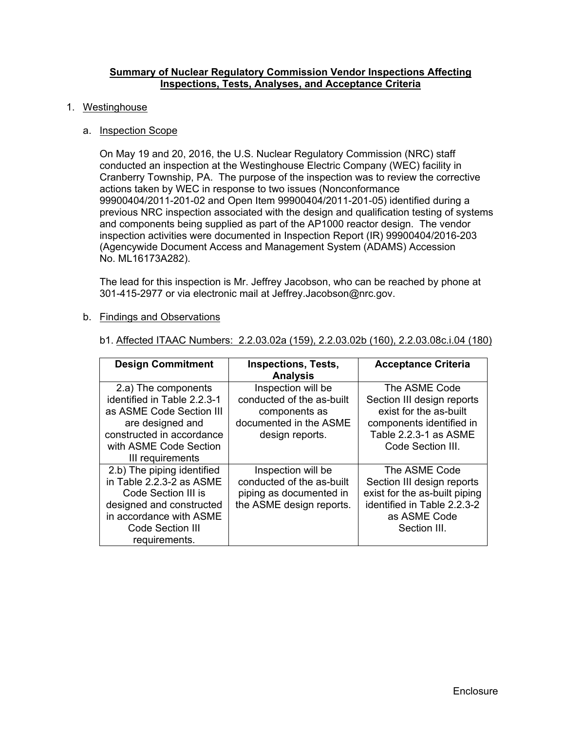### **Summary of Nuclear Regulatory Commission Vendor Inspections Affecting Inspections, Tests, Analyses, and Acceptance Criteria**

#### 1. Westinghouse

#### a. Inspection Scope

On May 19 and 20, 2016, the U.S. Nuclear Regulatory Commission (NRC) staff conducted an inspection at the Westinghouse Electric Company (WEC) facility in Cranberry Township, PA. The purpose of the inspection was to review the corrective actions taken by WEC in response to two issues (Nonconformance 99900404/2011-201-02 and Open Item 99900404/2011-201-05) identified during a previous NRC inspection associated with the design and qualification testing of systems and components being supplied as part of the AP1000 reactor design. The vendor inspection activities were documented in Inspection Report (IR) 99900404/2016-203 (Agencywide Document Access and Management System (ADAMS) Accession No. ML16173A282).

The lead for this inspection is Mr. Jeffrey Jacobson, who can be reached by phone at 301-415-2977 or via electronic mail at Jeffrey.Jacobson@nrc.gov.

#### b. Findings and Observations

| <b>Design Commitment</b>                                                                                                                                                         | <b>Inspections, Tests,</b><br><b>Analysis</b>                                                                 | <b>Acceptance Criteria</b>                                                                                                                      |
|----------------------------------------------------------------------------------------------------------------------------------------------------------------------------------|---------------------------------------------------------------------------------------------------------------|-------------------------------------------------------------------------------------------------------------------------------------------------|
| 2.a) The components<br>identified in Table 2.2.3-1<br>as ASME Code Section III<br>are designed and<br>constructed in accordance<br>with ASME Code Section<br>III requirements    | Inspection will be<br>conducted of the as-built<br>components as<br>documented in the ASME<br>design reports. | The ASME Code<br>Section III design reports<br>exist for the as-built<br>components identified in<br>Table 2.2.3-1 as ASME<br>Code Section III. |
| 2.b) The piping identified<br>in Table 2.2.3-2 as ASME<br>Code Section III is<br>designed and constructed<br>in accordance with ASME<br><b>Code Section III</b><br>requirements. | Inspection will be<br>conducted of the as-built<br>piping as documented in<br>the ASME design reports.        | The ASME Code<br>Section III design reports<br>exist for the as-built piping<br>identified in Table 2.2.3-2<br>as ASME Code<br>Section III.     |

b1. Affected ITAAC Numbers: 2.2.03.02a (159), 2.2.03.02b (160), 2.2.03.08c.i.04 (180)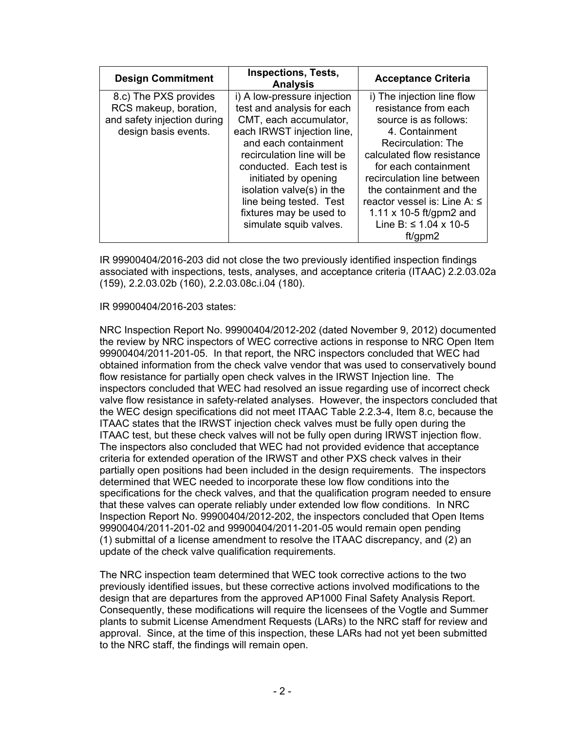| <b>Design Commitment</b>    | <b>Inspections, Tests,</b><br><b>Analysis</b> | <b>Acceptance Criteria</b>   |
|-----------------------------|-----------------------------------------------|------------------------------|
| 8.c) The PXS provides       | i) A low-pressure injection                   | i) The injection line flow   |
| RCS makeup, boration,       | test and analysis for each                    | resistance from each         |
| and safety injection during | CMT, each accumulator,                        | source is as follows:        |
| design basis events.        | each IRWST injection line,                    | 4. Containment               |
|                             | and each containment                          | Recirculation: The           |
|                             | recirculation line will be                    | calculated flow resistance   |
|                             | conducted. Each test is                       | for each containment         |
|                             | initiated by opening                          | recirculation line between   |
|                             | isolation valve(s) in the                     | the containment and the      |
|                             | line being tested. Test                       | reactor vessel is: Line A: ≤ |
|                             | fixtures may be used to                       | 1.11 x 10-5 ft/gpm2 and      |
|                             | simulate squib valves.                        | Line B: ≤ 1.04 x 10-5        |
|                             |                                               | ft/qpm2                      |

IR 99900404/2016-203 did not close the two previously identified inspection findings associated with inspections, tests, analyses, and acceptance criteria (ITAAC) 2.2.03.02a (159), 2.2.03.02b (160), 2.2.03.08c.i.04 (180).

## IR 99900404/2016-203 states:

NRC Inspection Report No. 99900404/2012-202 (dated November 9, 2012) documented the review by NRC inspectors of WEC corrective actions in response to NRC Open Item 99900404/2011-201-05. In that report, the NRC inspectors concluded that WEC had obtained information from the check valve vendor that was used to conservatively bound flow resistance for partially open check valves in the IRWST Injection line. The inspectors concluded that WEC had resolved an issue regarding use of incorrect check valve flow resistance in safety-related analyses. However, the inspectors concluded that the WEC design specifications did not meet ITAAC Table 2.2.3-4, Item 8.c, because the ITAAC states that the IRWST injection check valves must be fully open during the ITAAC test, but these check valves will not be fully open during IRWST injection flow. The inspectors also concluded that WEC had not provided evidence that acceptance criteria for extended operation of the IRWST and other PXS check valves in their partially open positions had been included in the design requirements. The inspectors determined that WEC needed to incorporate these low flow conditions into the specifications for the check valves, and that the qualification program needed to ensure that these valves can operate reliably under extended low flow conditions. In NRC Inspection Report No. 99900404/2012-202, the inspectors concluded that Open Items 99900404/2011-201-02 and 99900404/2011-201-05 would remain open pending (1) submittal of a license amendment to resolve the ITAAC discrepancy, and (2) an update of the check valve qualification requirements.

The NRC inspection team determined that WEC took corrective actions to the two previously identified issues, but these corrective actions involved modifications to the design that are departures from the approved AP1000 Final Safety Analysis Report. Consequently, these modifications will require the licensees of the Vogtle and Summer plants to submit License Amendment Requests (LARs) to the NRC staff for review and approval. Since, at the time of this inspection, these LARs had not yet been submitted to the NRC staff, the findings will remain open.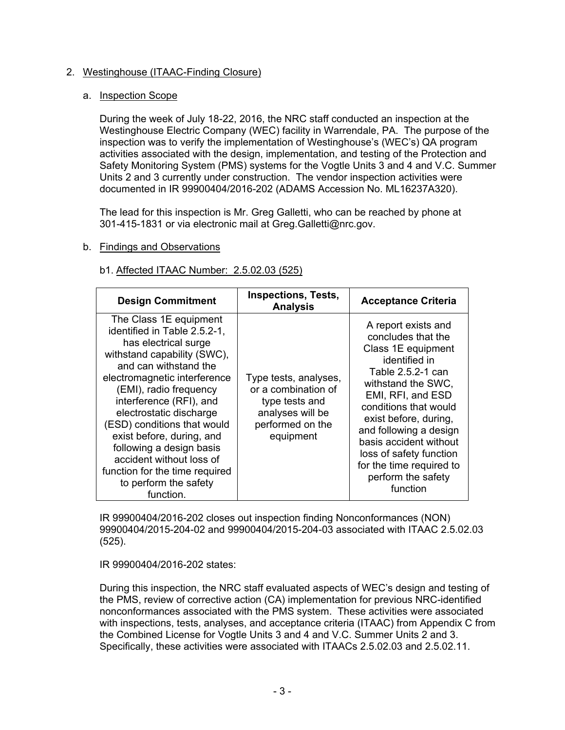# 2. Westinghouse (ITAAC-Finding Closure)

## a. Inspection Scope

During the week of July 18-22, 2016, the NRC staff conducted an inspection at the Westinghouse Electric Company (WEC) facility in Warrendale, PA. The purpose of the inspection was to verify the implementation of Westinghouse's (WEC's) QA program activities associated with the design, implementation, and testing of the Protection and Safety Monitoring System (PMS) systems for the Vogtle Units 3 and 4 and V.C. Summer Units 2 and 3 currently under construction. The vendor inspection activities were documented in IR 99900404/2016-202 (ADAMS Accession No. ML16237A320).

The lead for this inspection is Mr. Greg Galletti, who can be reached by phone at 301-415-1831 or via electronic mail at Greg.Galletti@nrc.gov.

# b. Findings and Observations

## b1. Affected ITAAC Number: 2.5.02.03 (525)

| <b>Design Commitment</b>                                                                                                                                                                                                                                                                                                                                                                                                                           | <b>Inspections, Tests,</b><br><b>Analysis</b>                                                                       | <b>Acceptance Criteria</b>                                                                                                                                                                                                                                                                                                                      |
|----------------------------------------------------------------------------------------------------------------------------------------------------------------------------------------------------------------------------------------------------------------------------------------------------------------------------------------------------------------------------------------------------------------------------------------------------|---------------------------------------------------------------------------------------------------------------------|-------------------------------------------------------------------------------------------------------------------------------------------------------------------------------------------------------------------------------------------------------------------------------------------------------------------------------------------------|
| The Class 1E equipment<br>identified in Table 2.5.2-1,<br>has electrical surge<br>withstand capability (SWC),<br>and can withstand the<br>electromagnetic interference<br>(EMI), radio frequency<br>interference (RFI), and<br>electrostatic discharge<br>(ESD) conditions that would<br>exist before, during, and<br>following a design basis<br>accident without loss of<br>function for the time required<br>to perform the safety<br>function. | Type tests, analyses,<br>or a combination of<br>type tests and<br>analyses will be<br>performed on the<br>equipment | A report exists and<br>concludes that the<br>Class 1E equipment<br>identified in<br>Table 2.5.2-1 can<br>withstand the SWC,<br>EMI, RFI, and ESD<br>conditions that would<br>exist before, during,<br>and following a design<br>basis accident without<br>loss of safety function<br>for the time required to<br>perform the safety<br>function |

IR 99900404/2016-202 closes out inspection finding Nonconformances (NON) 99900404/2015-204-02 and 99900404/2015-204-03 associated with ITAAC 2.5.02.03 (525).

IR 99900404/2016-202 states:

During this inspection, the NRC staff evaluated aspects of WEC's design and testing of the PMS, review of corrective action (CA) implementation for previous NRC-identified nonconformances associated with the PMS system. These activities were associated with inspections, tests, analyses, and acceptance criteria (ITAAC) from Appendix C from the Combined License for Vogtle Units 3 and 4 and V.C. Summer Units 2 and 3. Specifically, these activities were associated with ITAACs 2.5.02.03 and 2.5.02.11.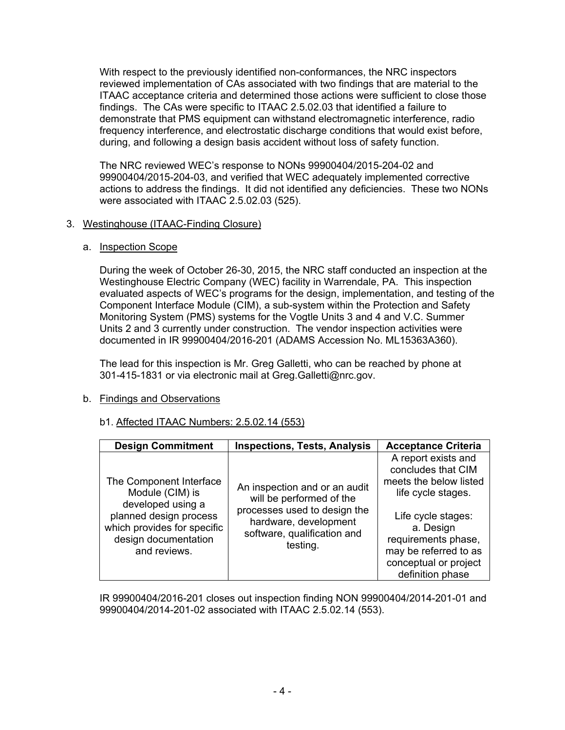With respect to the previously identified non-conformances, the NRC inspectors reviewed implementation of CAs associated with two findings that are material to the ITAAC acceptance criteria and determined those actions were sufficient to close those findings. The CAs were specific to ITAAC 2.5.02.03 that identified a failure to demonstrate that PMS equipment can withstand electromagnetic interference, radio frequency interference, and electrostatic discharge conditions that would exist before, during, and following a design basis accident without loss of safety function.

The NRC reviewed WEC's response to NONs 99900404/2015-204-02 and 99900404/2015-204-03, and verified that WEC adequately implemented corrective actions to address the findings. It did not identified any deficiencies. These two NONs were associated with ITAAC 2.5.02.03 (525).

# 3. Westinghouse (ITAAC-Finding Closure)

## a. Inspection Scope

During the week of October 26-30, 2015, the NRC staff conducted an inspection at the Westinghouse Electric Company (WEC) facility in Warrendale, PA. This inspection evaluated aspects of WEC's programs for the design, implementation, and testing of the Component Interface Module (CIM), a sub-system within the Protection and Safety Monitoring System (PMS) systems for the Vogtle Units 3 and 4 and V.C. Summer Units 2 and 3 currently under construction. The vendor inspection activities were documented in IR 99900404/2016-201 (ADAMS Accession No. ML15363A360).

The lead for this inspection is Mr. Greg Galletti, who can be reached by phone at 301-415-1831 or via electronic mail at Greg.Galletti@nrc.gov.

# b. Findings and Observations

# b1. Affected ITAAC Numbers: 2.5.02.14 (553)

| <b>Design Commitment</b>                                                                                                                                         | <b>Inspections, Tests, Analysis</b>                                                                                                                           | <b>Acceptance Criteria</b>                                                                                                                                                                                                |
|------------------------------------------------------------------------------------------------------------------------------------------------------------------|---------------------------------------------------------------------------------------------------------------------------------------------------------------|---------------------------------------------------------------------------------------------------------------------------------------------------------------------------------------------------------------------------|
| The Component Interface<br>Module (CIM) is<br>developed using a<br>planned design process<br>which provides for specific<br>design documentation<br>and reviews. | An inspection and or an audit<br>will be performed of the<br>processes used to design the<br>hardware, development<br>software, qualification and<br>testing. | A report exists and<br>concludes that CIM<br>meets the below listed<br>life cycle stages.<br>Life cycle stages:<br>a. Design<br>requirements phase,<br>may be referred to as<br>conceptual or project<br>definition phase |

IR 99900404/2016-201 closes out inspection finding NON 99900404/2014-201-01 and 99900404/2014-201-02 associated with ITAAC 2.5.02.14 (553).